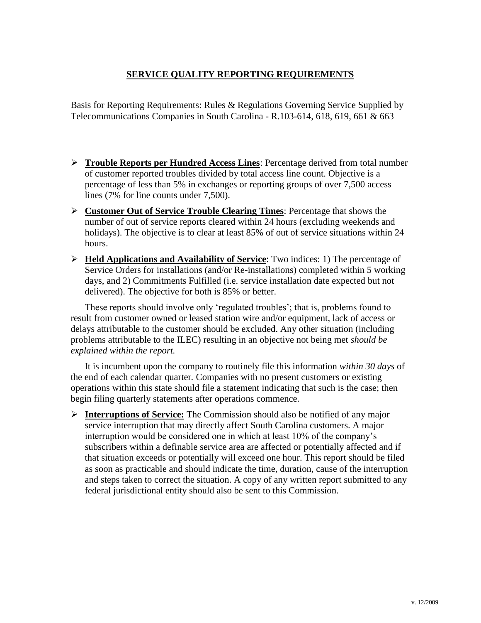## **SERVICE QUALITY REPORTING REQUIREMENTS**

Basis for Reporting Requirements: Rules & Regulations Governing Service Supplied by Telecommunications Companies in South Carolina - R.103-614, 618, 619, 661 & 663

- **Trouble Reports per Hundred Access Lines**: Percentage derived from total number of customer reported troubles divided by total access line count. Objective is a percentage of less than 5% in exchanges or reporting groups of over 7,500 access lines (7% for line counts under 7,500).
- **Customer Out of Service Trouble Clearing Times**: Percentage that shows the number of out of service reports cleared within 24 hours (excluding weekends and holidays). The objective is to clear at least 85% of out of service situations within 24 hours.
- **Held Applications and Availability of Service**: Two indices: 1) The percentage of Service Orders for installations (and/or Re-installations) completed within 5 working days, and 2) Commitments Fulfilled (i.e. service installation date expected but not delivered). The objective for both is 85% or better.

These reports should involve only 'regulated troubles'; that is, problems found to result from customer owned or leased station wire and/or equipment, lack of access or delays attributable to the customer should be excluded. Any other situation (including problems attributable to the ILEC) resulting in an objective not being met *should be explained within the report.*

It is incumbent upon the company to routinely file this information *within 30 days* of the end of each calendar quarter*.* Companies with no present customers or existing operations within this state should file a statement indicating that such is the case; then begin filing quarterly statements after operations commence.

 **Interruptions of Service:** The Commission should also be notified of any major service interruption that may directly affect South Carolina customers. A major interruption would be considered one in which at least 10% of the company's subscribers within a definable service area are affected or potentially affected and if that situation exceeds or potentially will exceed one hour. This report should be filed as soon as practicable and should indicate the time, duration, cause of the interruption and steps taken to correct the situation. A copy of any written report submitted to any federal jurisdictional entity should also be sent to this Commission.